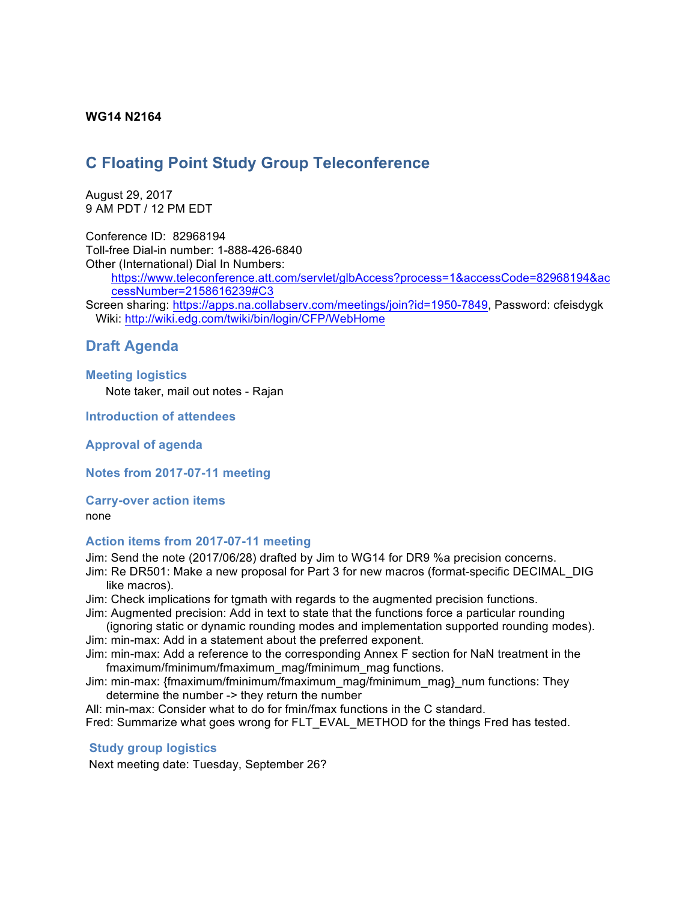## **WG14 N2164**

# **C Floating Point Study Group Teleconference**

August 29, 2017 9 AM PDT / 12 PM EDT

Conference ID: 82968194 Toll-free Dial-in number: 1-888-426-6840 Other (International) Dial In Numbers:

> https://www.teleconference.att.com/servlet/glbAccess?process=1&accessCode=82968194&ac cessNumber=2158616239#C3

Screen sharing: https://apps.na.collabserv.com/meetings/join?id=1950-7849, Password: cfeisdygk Wiki: http://wiki.edg.com/twiki/bin/login/CFP/WebHome

## **Draft Agenda**

#### **Meeting logistics**

Note taker, mail out notes - Rajan

## **Introduction of attendees**

**Approval of agenda**

**Notes from 2017-07-11 meeting**

#### **Carry-over action items**

none

### **Action items from 2017-07-11 meeting**

Jim: Send the note (2017/06/28) drafted by Jim to WG14 for DR9 %a precision concerns.

Jim: Re DR501: Make a new proposal for Part 3 for new macros (format-specific DECIMAL\_DIG like macros).

Jim: Check implications for tgmath with regards to the augmented precision functions. Jim: Augmented precision: Add in text to state that the functions force a particular rounding

(ignoring static or dynamic rounding modes and implementation supported rounding modes). Jim: min-max: Add in a statement about the preferred exponent.

Jim: min-max: Add a reference to the corresponding Annex F section for NaN treatment in the fmaximum/fminimum/fmaximum\_mag/fminimum\_mag functions.

Jim: min-max: {fmaximum/fminimum/fmaximum\_mag/fminimum\_mag}\_num functions: They determine the number -> they return the number

All: min-max: Consider what to do for fmin/fmax functions in the C standard. Fred: Summarize what goes wrong for FLT\_EVAL\_METHOD for the things Fred has tested.

### **Study group logistics**

Next meeting date: Tuesday, September 26?